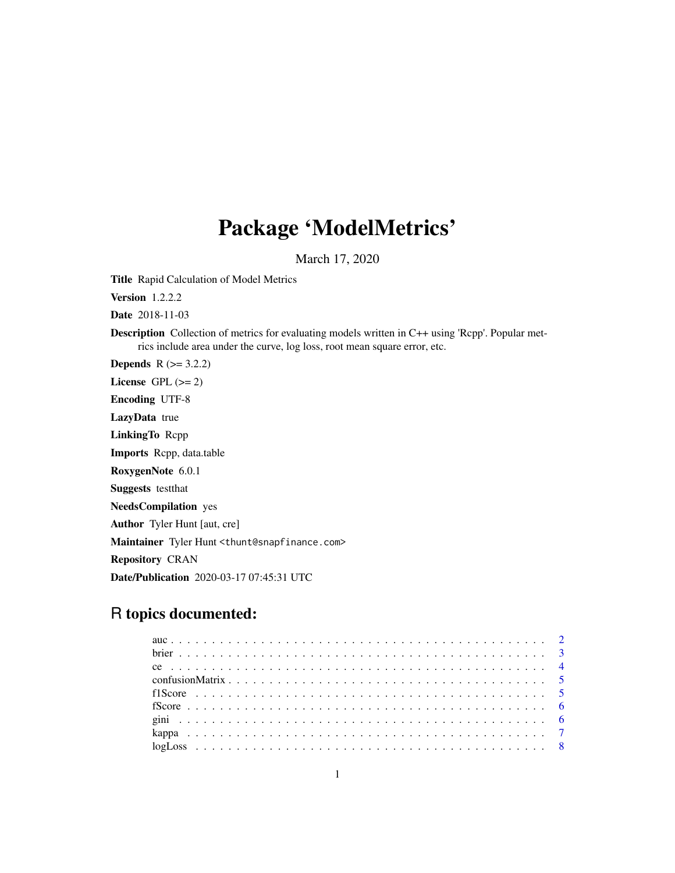## Package 'ModelMetrics'

March 17, 2020

Title Rapid Calculation of Model Metrics

Version 1.2.2.2

Date 2018-11-03

Description Collection of metrics for evaluating models written in C++ using 'Rcpp'. Popular metrics include area under the curve, log loss, root mean square error, etc.

**Depends**  $R$  ( $>= 3.2.2$ ) License GPL  $(>= 2)$ 

Encoding UTF-8

LazyData true

LinkingTo Rcpp

Imports Rcpp, data.table

RoxygenNote 6.0.1

Suggests testthat

NeedsCompilation yes

Author Tyler Hunt [aut, cre]

Maintainer Tyler Hunt <thunt@snapfinance.com>

Repository CRAN

Date/Publication 2020-03-17 07:45:31 UTC

## R topics documented: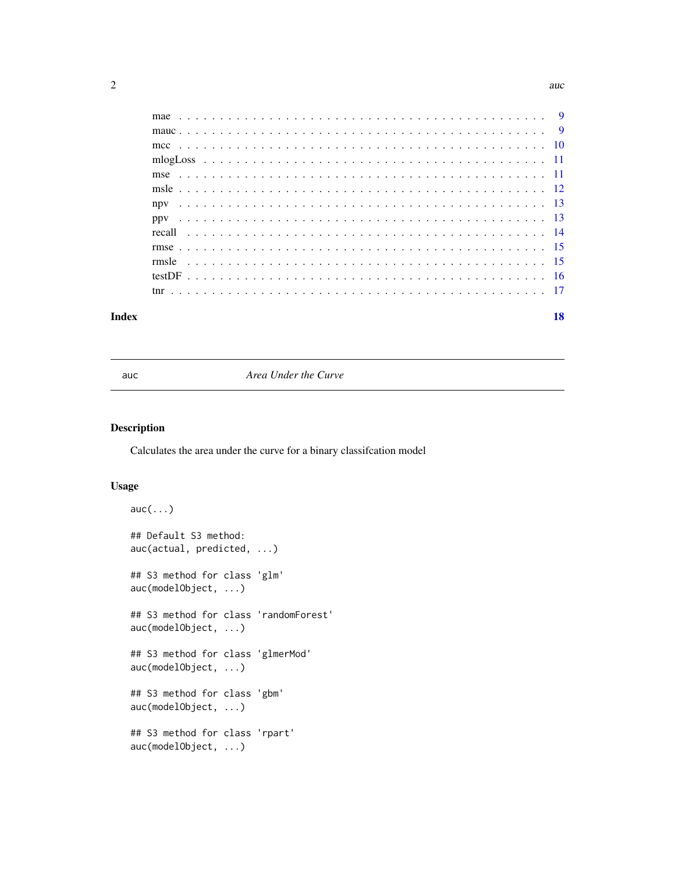<span id="page-1-0"></span>

#### **Index** 2008 **[18](#page-17-0)**

auc *Area Under the Curve*

## Description

Calculates the area under the curve for a binary classifcation model

#### Usage

```
auc(...)
## Default S3 method:
auc(actual, predicted, ...)
## S3 method for class 'glm'
auc(modelObject, ...)
## S3 method for class 'randomForest'
auc(modelObject, ...)
## S3 method for class 'glmerMod'
auc(modelObject, ...)
## S3 method for class 'gbm'
auc(modelObject, ...)
## S3 method for class 'rpart'
auc(modelObject, ...)
```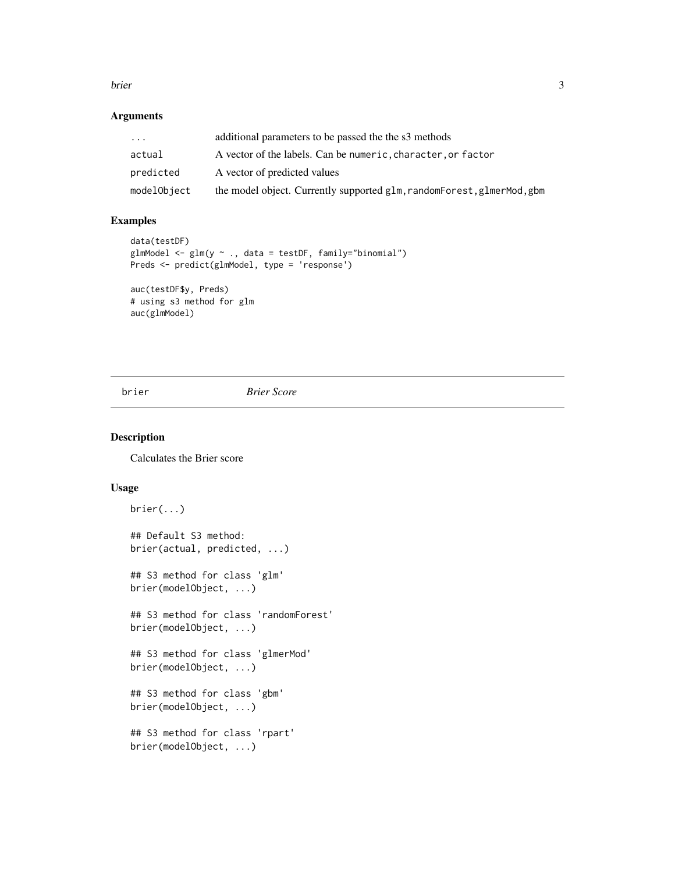#### <span id="page-2-0"></span>brier 3

## Arguments

| $\ddotsc$   | additional parameters to be passed the the s3 methods                    |
|-------------|--------------------------------------------------------------------------|
| actual      | A vector of the labels. Can be numeric, character, or factor             |
| predicted   | A vector of predicted values                                             |
| modelObject | the model object. Currently supported glm, random Forest, glmer Mod, gbm |

## Examples

```
data(testDF)
glmModel <- glm(y ~ ., data = testDF, family="binomial")
Preds <- predict(glmModel, type = 'response')
auc(testDF$y, Preds)
```
# using s3 method for glm auc(glmModel)

brier *Brier Score*

## Description

Calculates the Brier score

## Usage

```
brier(...)
## Default S3 method:
brier(actual, predicted, ...)
## S3 method for class 'glm'
brier(modelObject, ...)
## S3 method for class 'randomForest'
brier(modelObject, ...)
## S3 method for class 'glmerMod'
brier(modelObject, ...)
## S3 method for class 'gbm'
brier(modelObject, ...)
## S3 method for class 'rpart'
brier(modelObject, ...)
```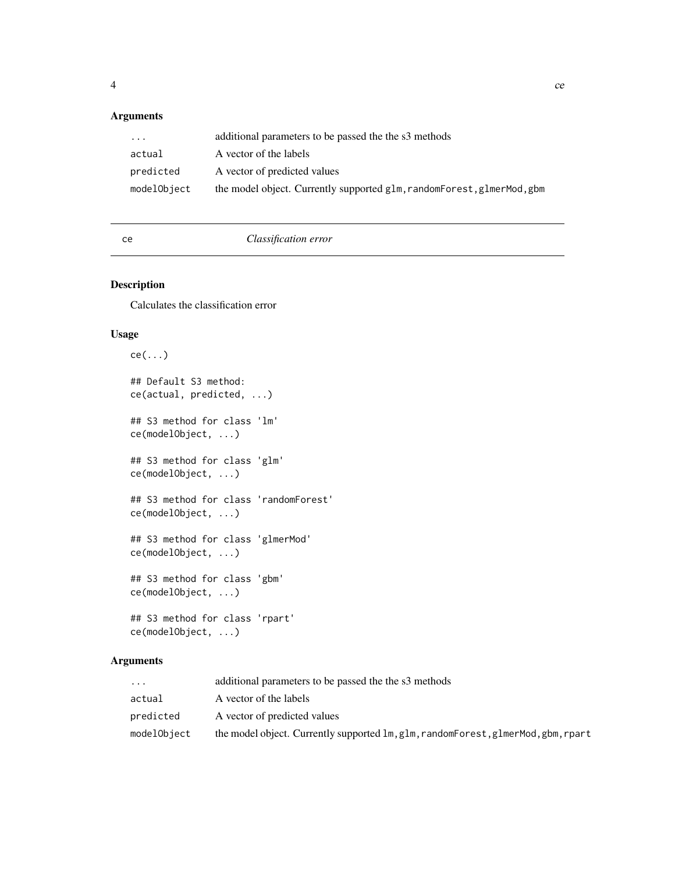## <span id="page-3-0"></span>Arguments

| $\ddotsc$   | additional parameters to be passed the the s3 methods                    |
|-------------|--------------------------------------------------------------------------|
| actual      | A vector of the labels                                                   |
| predicted   | A vector of predicted values                                             |
| modelObject | the model object. Currently supported glm, random Forest, glmer Mod, gbm |

ce *Classification error*

## Description

Calculates the classification error

#### Usage

```
ce(...)
## Default S3 method:
ce(actual, predicted, ...)
## S3 method for class 'lm'
ce(modelObject, ...)
## S3 method for class 'glm'
ce(modelObject, ...)
## S3 method for class 'randomForest'
ce(modelObject, ...)
## S3 method for class 'glmerMod'
ce(modelObject, ...)
## S3 method for class 'gbm'
ce(modelObject, ...)
## S3 method for class 'rpart'
ce(modelObject, ...)
```

| $\cdots$    | additional parameters to be passed the the s3 methods                             |
|-------------|-----------------------------------------------------------------------------------|
| actual      | A vector of the labels                                                            |
| predicted   | A vector of predicted values                                                      |
| modelObject | the model object. Currently supported lm, glm, randomForest, glmerMod, gbm, rpart |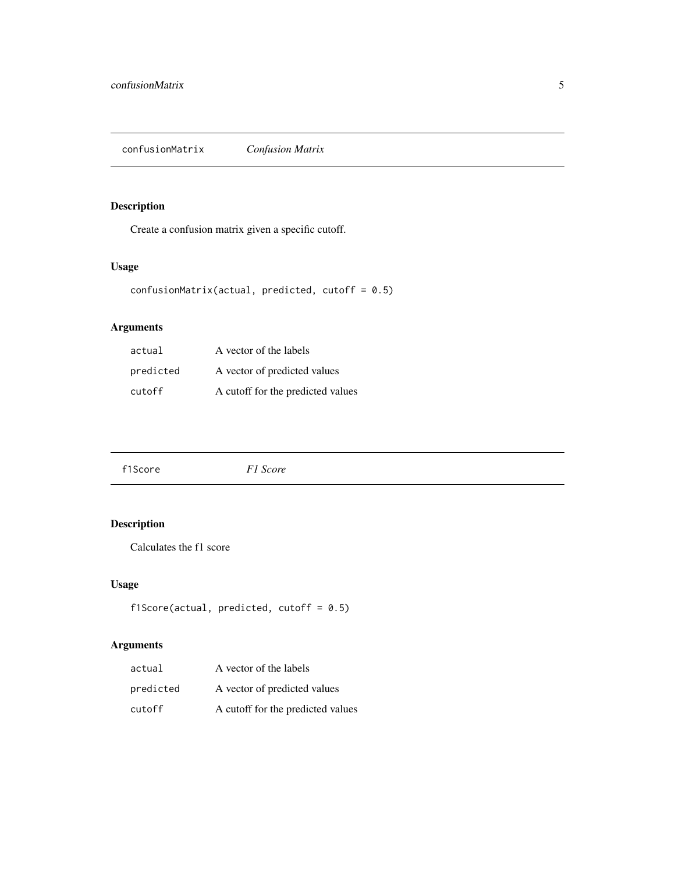<span id="page-4-0"></span>Create a confusion matrix given a specific cutoff.

## Usage

```
confusionMatrix(actual, predicted, cutoff = 0.5)
```
## Arguments

| actual    | A vector of the labels            |
|-----------|-----------------------------------|
| predicted | A vector of predicted values      |
| cutoff    | A cutoff for the predicted values |

| f1Score |
|---------|
|---------|

## Description

Calculates the f1 score

## Usage

```
f1Score(actual, predicted, cutoff = 0.5)
```

| actual    | A vector of the labels            |
|-----------|-----------------------------------|
| predicted | A vector of predicted values      |
| cutoff    | A cutoff for the predicted values |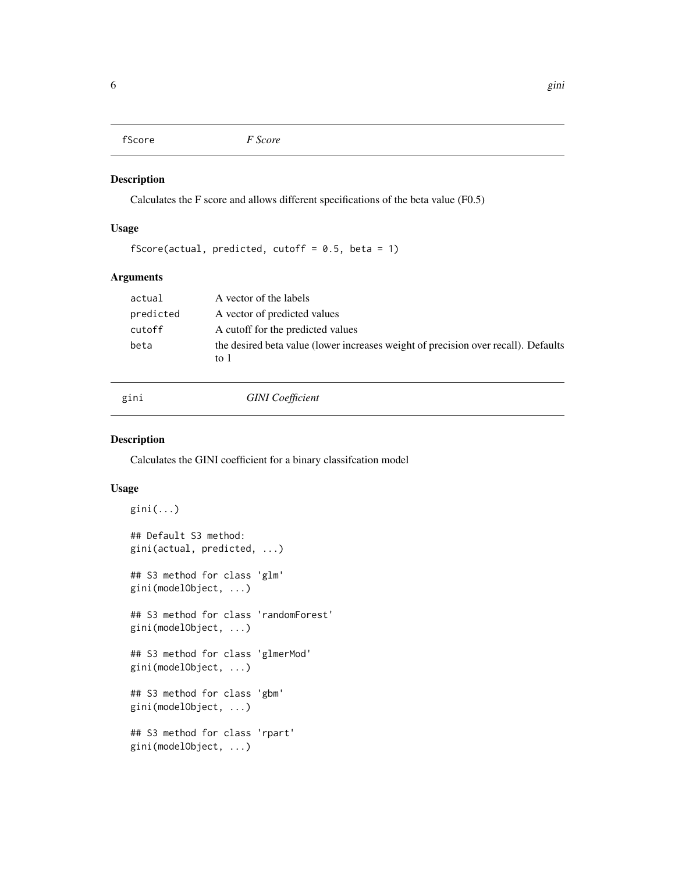<span id="page-5-0"></span>

Calculates the F score and allows different specifications of the beta value (F0.5)

## Usage

```
fScore(actual, predicted, cutoff = 0.5, beta = 1)
```
#### Arguments

| actual    | A vector of the labels                                                                     |
|-----------|--------------------------------------------------------------------------------------------|
| predicted | A vector of predicted values                                                               |
| cutoff    | A cutoff for the predicted values                                                          |
| beta      | the desired beta value (lower increases weight of precision over recall). Defaults<br>to 1 |

## gini *GINI Coefficient*

#### Description

Calculates the GINI coefficient for a binary classifcation model

#### Usage

```
gini(...)
## Default S3 method:
gini(actual, predicted, ...)
## S3 method for class 'glm'
gini(modelObject, ...)
## S3 method for class 'randomForest'
gini(modelObject, ...)
## S3 method for class 'glmerMod'
gini(modelObject, ...)
## S3 method for class 'gbm'
gini(modelObject, ...)
## S3 method for class 'rpart'
gini(modelObject, ...)
```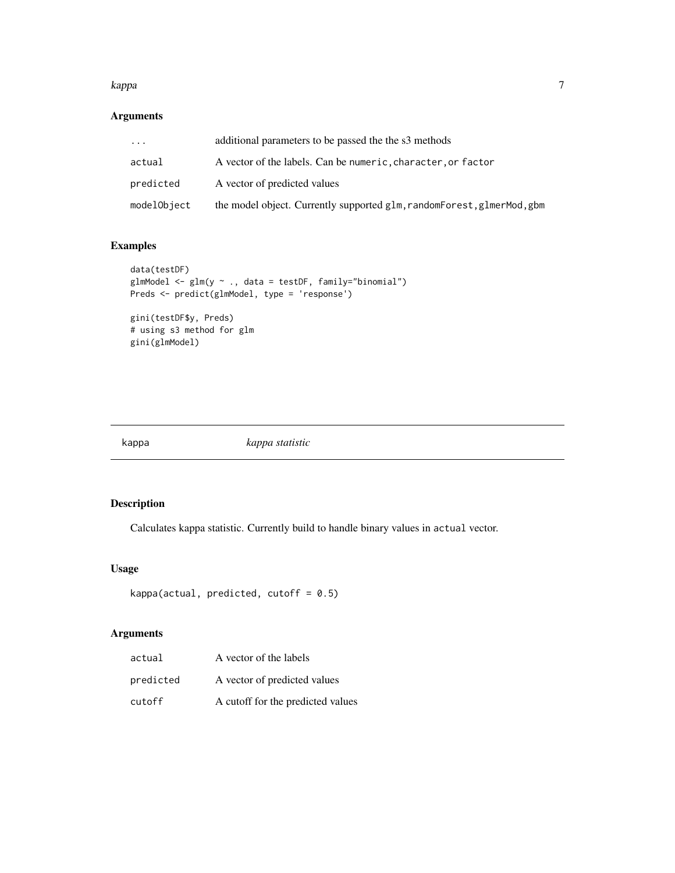#### <span id="page-6-0"></span>kappa 1988 - 1988 - 1988 - 1988 - 1988 - 1988 - 1988 - 1988 - 1988 - 1988 - 1988 - 1988 - 1988 - 1988 - 1988 -

## Arguments

| .           | additional parameters to be passed the the s3 methods                    |
|-------------|--------------------------------------------------------------------------|
| actual      | A vector of the labels. Can be numeric, character, or factor             |
| predicted   | A vector of predicted values                                             |
| modelObject | the model object. Currently supported glm, random Forest, glmer Mod, gbm |

## Examples

```
data(testDF)
glmModel <- glm(y ~ ., data = testDF, family="binomial")
Preds <- predict(glmModel, type = 'response')
gini(testDF$y, Preds)
# using s3 method for glm
gini(glmModel)
```
kappa *kappa statistic*

## Description

Calculates kappa statistic. Currently build to handle binary values in actual vector.

## Usage

```
kappa(actual, predicted, cutoff = 0.5)
```

| actual    | A vector of the labels            |
|-----------|-----------------------------------|
| predicted | A vector of predicted values      |
| cutoff    | A cutoff for the predicted values |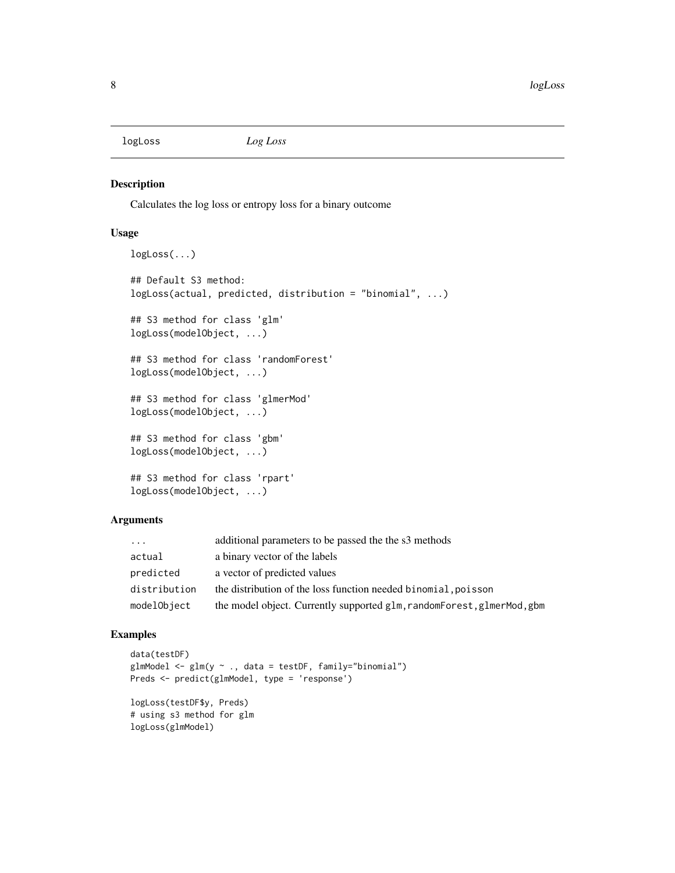<span id="page-7-0"></span>

Calculates the log loss or entropy loss for a binary outcome

#### Usage

```
logLoss(...)
## Default S3 method:
logLoss(actual, predicted, distribution = "binomial", ...)
## S3 method for class 'glm'
logLoss(modelObject, ...)
## S3 method for class 'randomForest'
logLoss(modelObject, ...)
## S3 method for class 'glmerMod'
logLoss(modelObject, ...)
## S3 method for class 'gbm'
logLoss(modelObject, ...)
## S3 method for class 'rpart'
logLoss(modelObject, ...)
```
#### Arguments

| $\ddots$     | additional parameters to be passed the the s3 methods                    |
|--------------|--------------------------------------------------------------------------|
| actual       | a binary vector of the labels                                            |
| predicted    | a vector of predicted values                                             |
| distribution | the distribution of the loss function needed binomial, poisson           |
| modelObject  | the model object. Currently supported glm, random Forest, glmer Mod, gbm |

#### Examples

```
data(testDF)
glmModel <- glm(y ~ ., data = testDF, family="binomial")
Preds <- predict(glmModel, type = 'response')
logLoss(testDF$y, Preds)
# using s3 method for glm
logLoss(glmModel)
```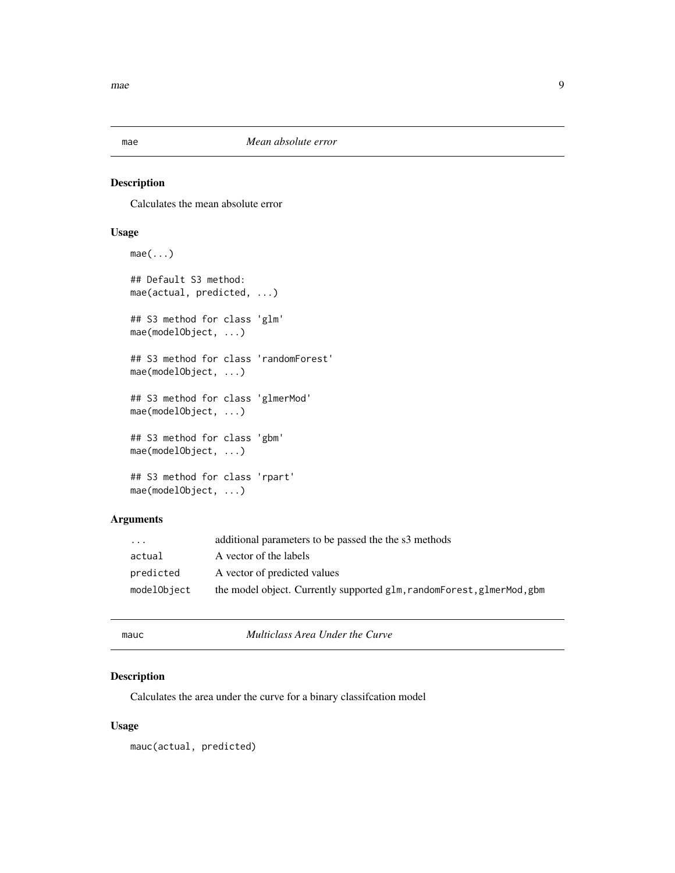<span id="page-8-0"></span>

Calculates the mean absolute error

## Usage

```
mae(...)
## Default S3 method:
mae(actual, predicted, ...)
## S3 method for class 'glm'
mae(modelObject, ...)
## S3 method for class 'randomForest'
mae(modelObject, ...)
## S3 method for class 'glmerMod'
mae(modelObject, ...)
## S3 method for class 'gbm'
mae(modelObject, ...)
## S3 method for class 'rpart'
mae(modelObject, ...)
```
## Arguments

| $\cdot$     | additional parameters to be passed the the s3 methods                  |
|-------------|------------------------------------------------------------------------|
| actual      | A vector of the labels                                                 |
| predicted   | A vector of predicted values                                           |
| modelObject | the model object. Currently supported glm, randomForest, glmerMod, gbm |

mauc *Multiclass Area Under the Curve*

## Description

Calculates the area under the curve for a binary classifcation model

#### Usage

mauc(actual, predicted)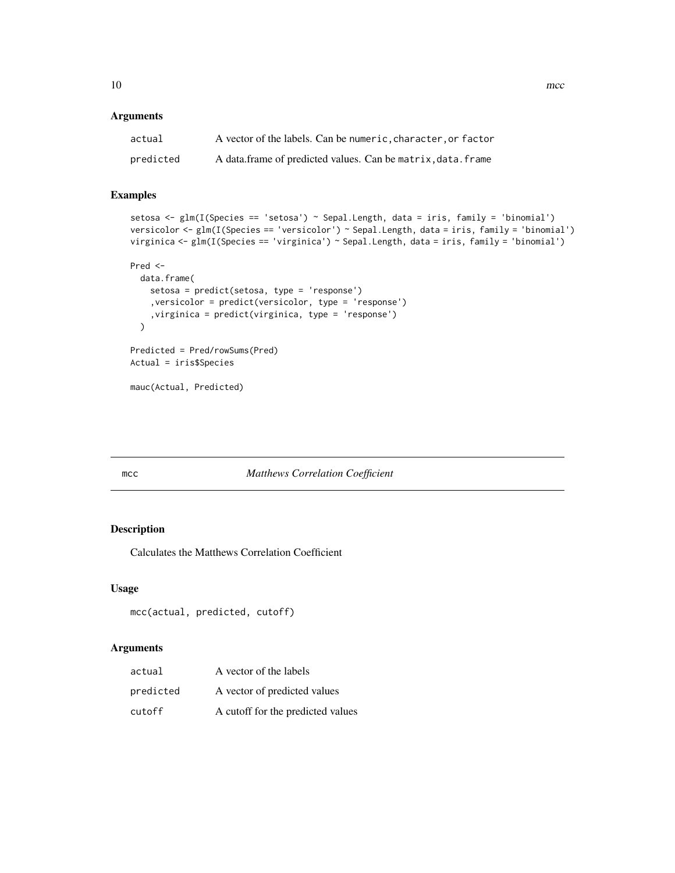### <span id="page-9-0"></span>Arguments

| actual    | A vector of the labels. Can be numeric, character, or factor |
|-----------|--------------------------------------------------------------|
| predicted | A data frame of predicted values. Can be matrix, data, frame |

## Examples

```
setosa \leq glm(I(Species == 'setosa') \sim Sepal.Length, data = iris, family = 'binomial')
versicolor <- glm(I(Species == 'versicolor') ~ Sepal.Length, data = iris, family = 'binomial')
virginica <- glm(I(Species == 'virginica') ~ Sepal.Length, data = iris, family = 'binomial')
```

```
Pred <-
  data.frame(
    setosa = predict(setosa, type = 'response')
    ,versicolor = predict(versicolor, type = 'response')
    ,virginica = predict(virginica, type = 'response')
  \mathcal{L}Predicted = Pred/rowSums(Pred)
Actual = iris$Species
```
mauc(Actual, Predicted)

## mcc *Matthews Correlation Coefficient*

## Description

Calculates the Matthews Correlation Coefficient

#### Usage

```
mcc(actual, predicted, cutoff)
```

| actual    | A vector of the labels            |
|-----------|-----------------------------------|
| predicted | A vector of predicted values      |
| cutoff    | A cutoff for the predicted values |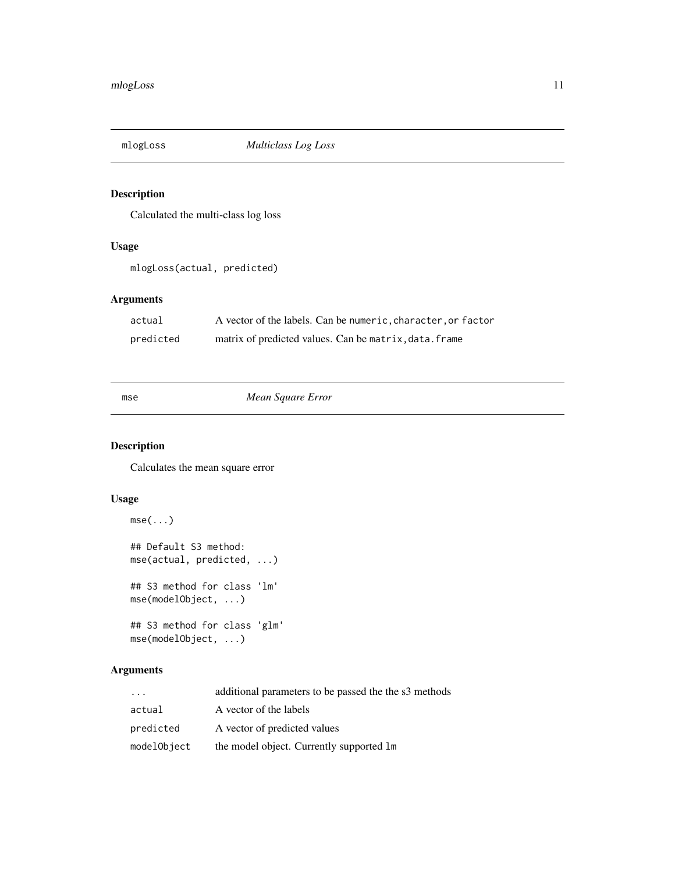<span id="page-10-0"></span>

Calculated the multi-class log loss

## Usage

mlogLoss(actual, predicted)

## Arguments

| actual    | A vector of the labels. Can be numeric, character, or factor |
|-----------|--------------------------------------------------------------|
| predicted | matrix of predicted values. Can be matrix, data. frame       |

## mse *Mean Square Error*

## Description

Calculates the mean square error

## Usage

```
mse(...)
## Default S3 method:
mse(actual, predicted, ...)
## S3 method for class 'lm'
mse(modelObject, ...)
## S3 method for class 'glm'
mse(modelObject, ...)
```

| $\cdot$ $\cdot$ $\cdot$ | additional parameters to be passed the the s3 methods |
|-------------------------|-------------------------------------------------------|
| actual                  | A vector of the labels                                |
| predicted               | A vector of predicted values                          |
| modelObject             | the model object. Currently supported 1m              |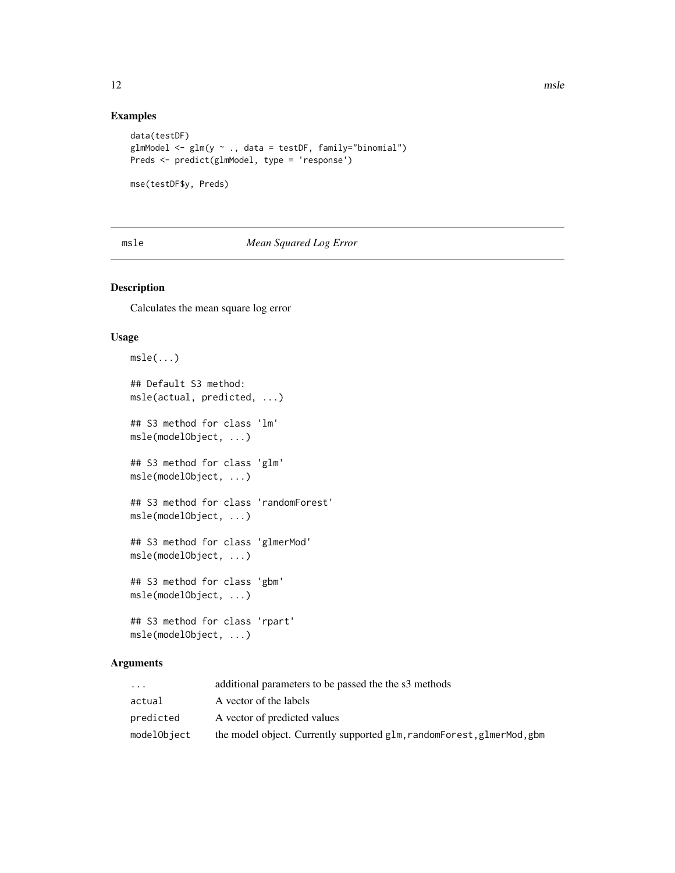## Examples

```
data(testDF)
glmModel <- glm(y ~ ., data = testDF, family="binomial")
Preds <- predict(glmModel, type = 'response')
mse(testDF$y, Preds)
```
## msle *Mean Squared Log Error*

#### Description

Calculates the mean square log error

#### Usage

```
msle(...)## Default S3 method:
msle(actual, predicted, ...)
## S3 method for class 'lm'
msle(modelObject, ...)
## S3 method for class 'glm'
msle(modelObject, ...)
## S3 method for class 'randomForest'
msle(modelObject, ...)
## S3 method for class 'glmerMod'
msle(modelObject, ...)
## S3 method for class 'gbm'
msle(modelObject, ...)
## S3 method for class 'rpart'
msle(modelObject, ...)
```

| $\cdots$    | additional parameters to be passed the the s3 methods                  |
|-------------|------------------------------------------------------------------------|
| actual      | A vector of the labels                                                 |
| predicted   | A vector of predicted values                                           |
| modelObject | the model object. Currently supported glm, randomForest, glmerMod, gbm |

<span id="page-11-0"></span>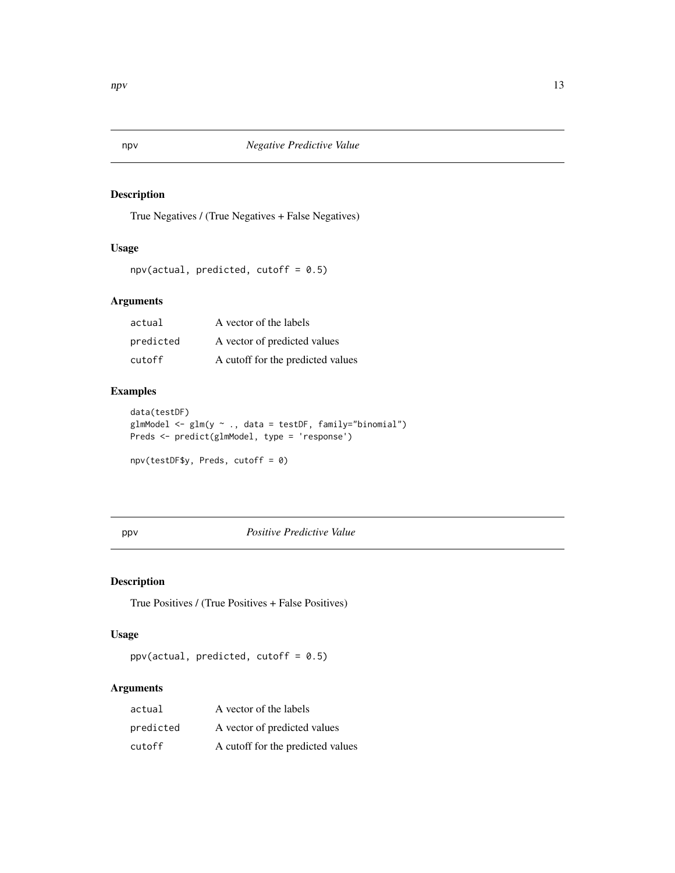<span id="page-12-0"></span>

True Negatives / (True Negatives + False Negatives)

## Usage

```
npv(actual, predicted, cutoff = 0.5)
```
## Arguments

| actual    | A vector of the labels            |
|-----------|-----------------------------------|
| predicted | A vector of predicted values      |
| cutoff    | A cutoff for the predicted values |

## Examples

```
data(testDF)
glmModel <- glm(y ~ ., data = testDF, family="binomial")
Preds <- predict(glmModel, type = 'response')
npv(testDF$y, Preds, cutoff = 0)
```
## ppv *Positive Predictive Value*

## Description

True Positives / (True Positives + False Positives)

## Usage

 $ppv(actual, predicted, cutoff = 0.5)$ 

| actual    | A vector of the labels            |
|-----------|-----------------------------------|
| predicted | A vector of predicted values      |
| cutoff    | A cutoff for the predicted values |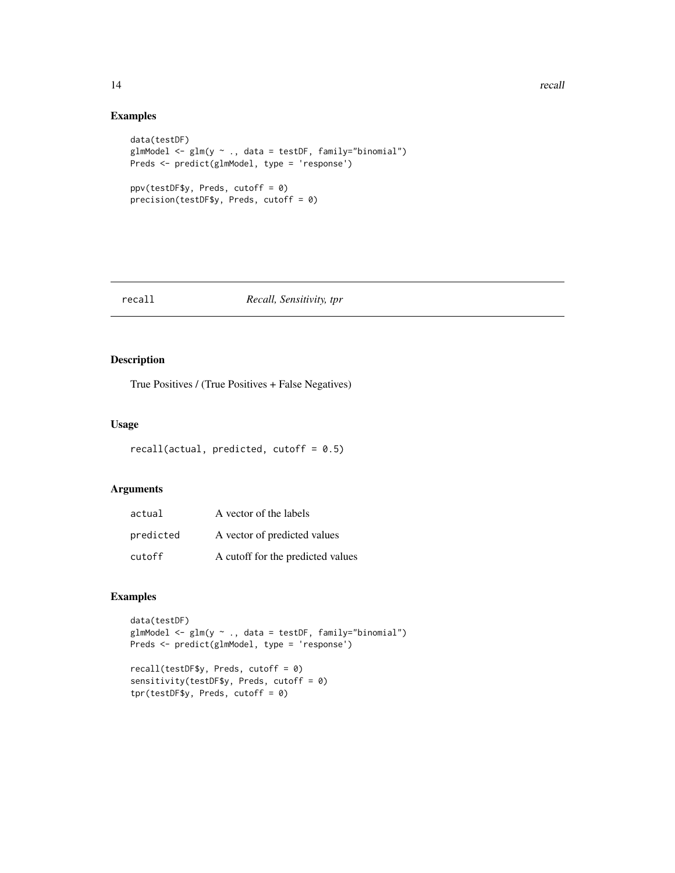## Examples

```
data(testDF)
glmModel <- glm(y ~ ., data = testDF, family="binomial")
Preds <- predict(glmModel, type = 'response')
ppv(testDF$y, Preds, cutoff = 0)
precision(testDF$y, Preds, cutoff = 0)
```
#### recall *Recall, Sensitivity, tpr*

#### Description

True Positives / (True Positives + False Negatives)

## Usage

```
recall(actual, predicted, cutoff = 0.5)
```
## Arguments

| actual    | A vector of the labels            |
|-----------|-----------------------------------|
| predicted | A vector of predicted values      |
| cutoff    | A cutoff for the predicted values |

## Examples

```
data(testDF)
glmModel <- glm(y ~ ., data = testDF, family="binomial")
Preds <- predict(glmModel, type = 'response')
```

```
recall(testDF$y, Preds, cutoff = 0)
sensitivity(testDF$y, Preds, cutoff = 0)
tpr(testDF$y, Preds, cutoff = 0)
```
<span id="page-13-0"></span>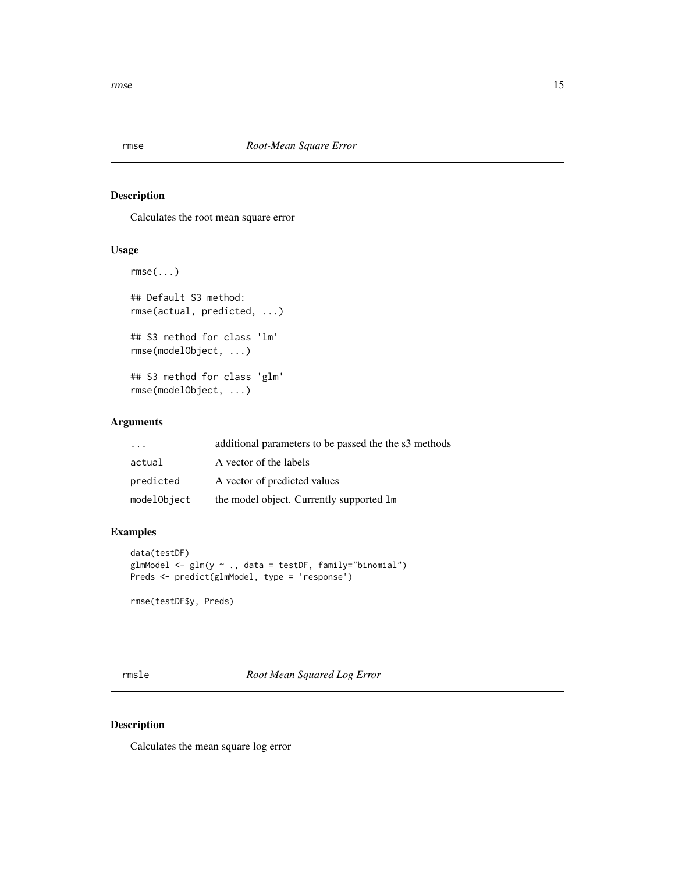<span id="page-14-0"></span>

Calculates the root mean square error

## Usage

```
rmse(...)
## Default S3 method:
rmse(actual, predicted, ...)
## S3 method for class 'lm'
rmse(modelObject, ...)
## S3 method for class 'glm'
rmse(modelObject, ...)
```
#### Arguments

| $\cdot$ $\cdot$ $\cdot$ | additional parameters to be passed the the s3 methods |
|-------------------------|-------------------------------------------------------|
| actual                  | A vector of the labels                                |
| predicted               | A vector of predicted values                          |
| modelObject             | the model object. Currently supported 1m              |

#### Examples

```
data(testDF)
glmModel <- glm(y ~ ., data = testDF, family="binomial")
Preds <- predict(glmModel, type = 'response')
rmse(testDF$y, Preds)
```
rmsle *Root Mean Squared Log Error*

#### Description

Calculates the mean square log error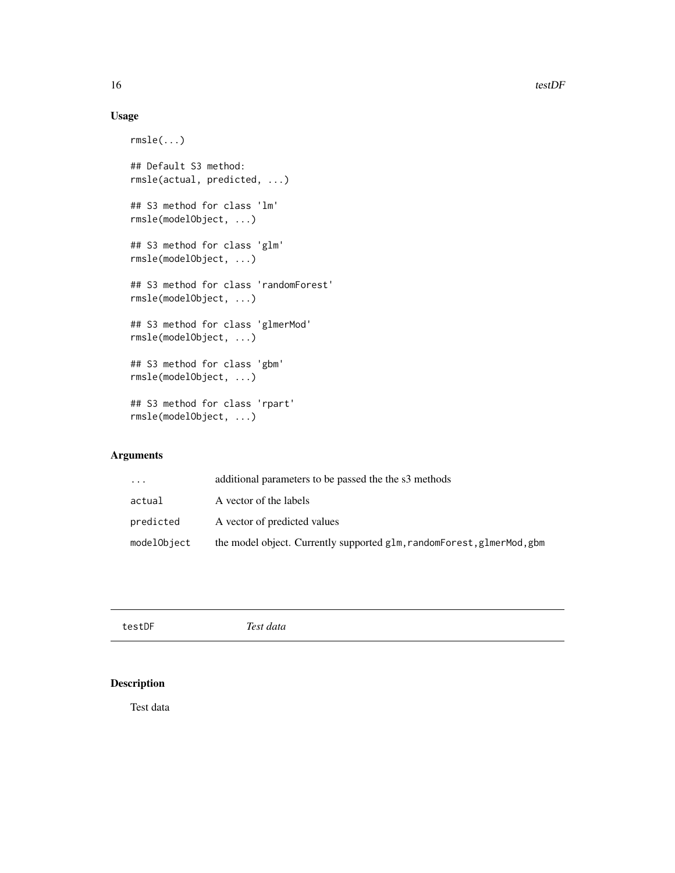## Usage

```
rmsle(...)
## Default S3 method:
rmsle(actual, predicted, ...)
## S3 method for class 'lm'
rmsle(modelObject, ...)
## S3 method for class 'glm'
rmsle(modelObject, ...)
## S3 method for class 'randomForest'
rmsle(modelObject, ...)
## S3 method for class 'glmerMod'
rmsle(modelObject, ...)
## S3 method for class 'gbm'
rmsle(modelObject, ...)
## S3 method for class 'rpart'
rmsle(modelObject, ...)
```
## Arguments

| .           | additional parameters to be passed the the s3 methods                  |
|-------------|------------------------------------------------------------------------|
| actual      | A vector of the labels                                                 |
| predicted   | A vector of predicted values                                           |
| modelObject | the model object. Currently supported glm, randomForest, glmerMod, gbm |

| testDF | Test data |
|--------|-----------|
|        |           |

## Description

Test data

<span id="page-15-0"></span>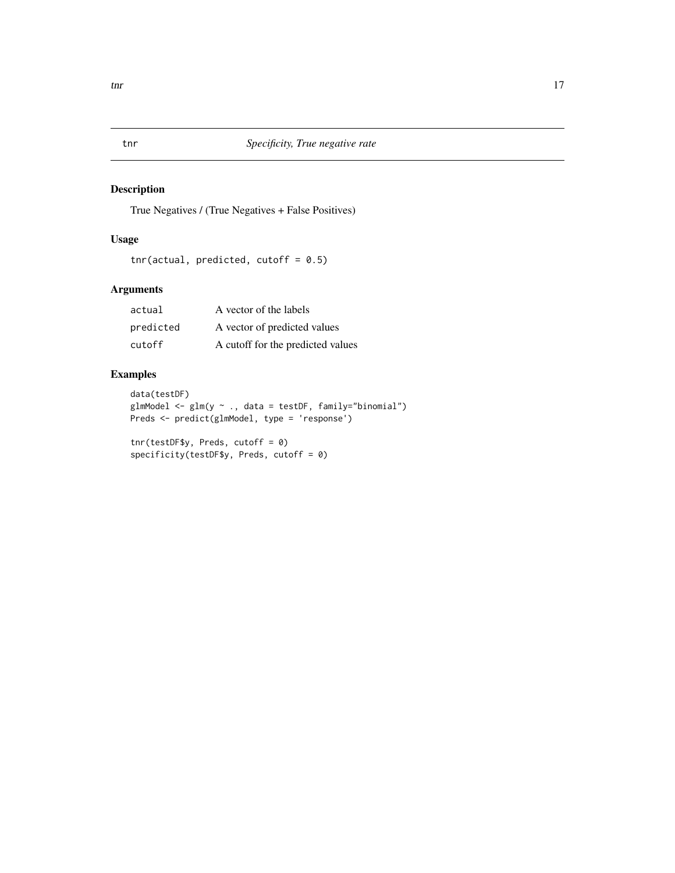True Negatives / (True Negatives + False Positives)

## Usage

```
tnr(actual, predicted, cutoff = 0.5)
```
## Arguments

| actual    | A vector of the labels            |
|-----------|-----------------------------------|
| predicted | A vector of predicted values      |
| cutoff    | A cutoff for the predicted values |

## Examples

```
data(testDF)
glmModel <- glm(y ~ ., data = testDF, family="binomial")
Preds <- predict(glmModel, type = 'response')
```

```
tnr(testDF$y, Preds, cutoff = 0)
specificity(testDF$y, Preds, cutoff = 0)
```
<span id="page-16-0"></span>